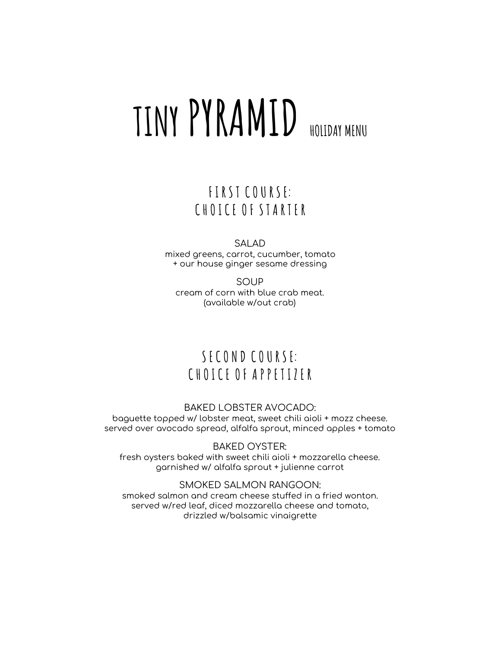# **TINY PYRAMID HOLIDAY MENU**

## **F I R S T C O U R S E: C H O I C E O F S T A R T E R**

SALAD

mixed greens, carrot, cucumber, tomato + our house ginger sesame dressing

SOUP cream of corn with blue crab meat. (available w/out crab)

# **S E C O N D C O U R S E: C H O I C E O F A P P E T I Z E R**

#### BAKED LOBSTER AVOCADO:

baguette topped w/ lobster meat, sweet chili aioli + mozz cheese. served over avocado spread, alfalfa sprout, minced apples + tomato

BAKED OYSTER:

fresh oysters baked with sweet chili aioli + mozzarella cheese. garnished w/ alfalfa sprout + julienne carrot

SMOKED SALMON RANGOON: smoked salmon and cream cheese stuffed in a fried wonton. served w/red leaf, diced mozzarella cheese and tomato, drizzled w/balsamic vinaigrette